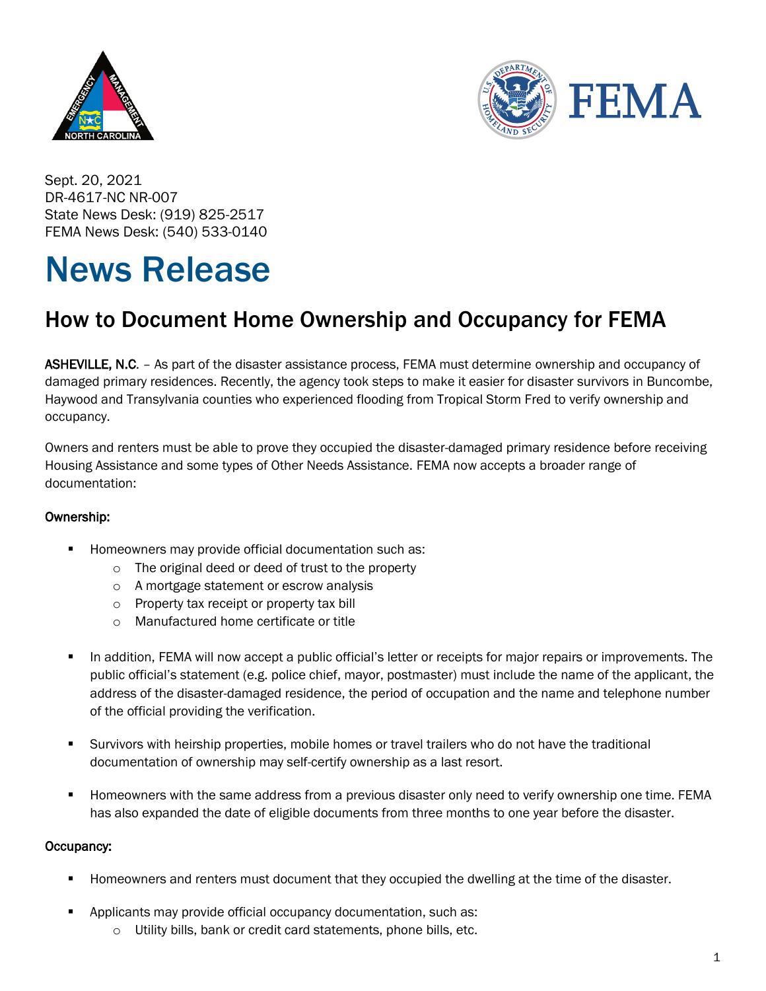



Sept. 20, 2021 DR-4617-NC NR-007 State News Desk: (919) 825-2517 FEMA News Desk: (540) 533-0140

## News Release

## How to Document Home Ownership and Occupancy for FEMA

ASHEVILLE, N.C. - As part of the disaster assistance process, FEMA must determine ownership and occupancy of damaged primary residences. Recently, the agency took steps to make it easier for disaster survivors in Buncombe, Haywood and Transylvania counties who experienced flooding from Tropical Storm Fred to verify ownership and occupancy.

Owners and renters must be able to prove they occupied the disaster-damaged primary residence before receiving Housing Assistance and some types of Other Needs Assistance. FEMA now accepts a broader range of documentation:

## Ownership:

- Homeowners may provide official documentation such as:
	- o The original deed or deed of trust to the property
	- o A mortgage statement or escrow analysis
	- o Property tax receipt or property tax bill
	- o Manufactured home certificate or title
- **•** In addition, FEMA will now accept a public official's letter or receipts for major repairs or improvements. The public official's statement (e.g. police chief, mayor, postmaster) must include the name of the applicant, the address of the disaster-damaged residence, the period of occupation and the name and telephone number of the official providing the verification.
- Survivors with heirship properties, mobile homes or travel trailers who do not have the traditional documentation of ownership may self-certify ownership as a last resort.
- Homeowners with the same address from a previous disaster only need to verify ownership one time. FEMA has also expanded the date of eligible documents from three months to one year before the disaster.

## Occupancy:

- Homeowners and renters must document that they occupied the dwelling at the time of the disaster.
- Applicants may provide official occupancy documentation, such as:
	- o Utility bills, bank or credit card statements, phone bills, etc.